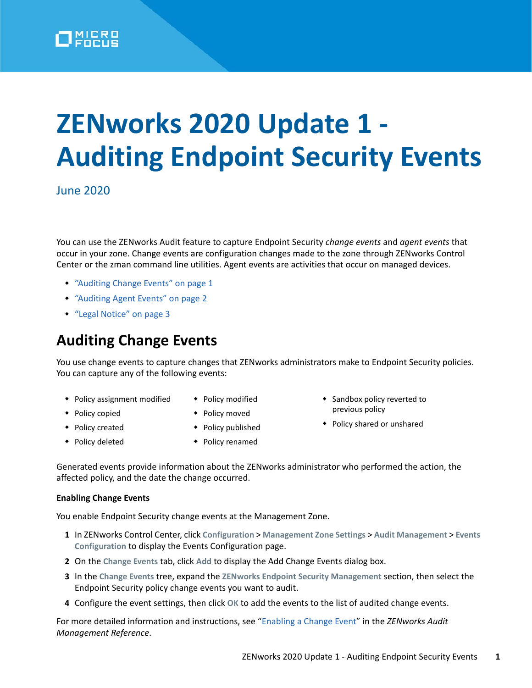

# **ZENworks 2020 Update 1 - Auditing Endpoint Security Events**

June 2020

You can use the ZENworks Audit feature to capture Endpoint Security *change events* and *agent events* that occur in your zone. Change events are configuration changes made to the zone through ZENworks Control Center or the zman command line utilities. Agent events are activities that occur on managed devices.

- ["Auditing Change Events" on page 1](#page-0-0)
- ["Auditing Agent Events" on page 2](#page-1-0)
- ["Legal Notice" on page 3](#page-2-0)

## <span id="page-0-0"></span>**Auditing Change Events**

You use change events to capture changes that ZENworks administrators make to Endpoint Security policies. You can capture any of the following events:

- Policy assignment modified
- Policy copied
- Policy modified
- 
- Policy moved
- ◆ Policy created
- Policy published
- 
- 
- Sandbox policy reverted to previous policy
- Policy shared or unshared
- ◆ Policy deleted
- Policy renamed
- Generated events provide information about the ZENworks administrator who performed the action, the affected policy, and the date the change occurred.

### **Enabling Change Events**

You enable Endpoint Security change events at the Management Zone.

- **1** In ZENworks Control Center, click **Configuration** > **Management Zone Settings** > **Audit Management** > **Events Configuration** to display the Events Configuration page.
- **2** On the **Change Events** tab, click **Add** to display the Add Change Events dialog box.
- **3** In the **Change Events** tree, expand the **ZENworks Endpoint Security Management** section, then select the Endpoint Security policy change events you want to audit.
- **4** Configure the event settings, then click **OK** to add the events to the list of audited change events.

For more detailed information and instructions, see ["Enabling a Change Event](https://www.novell.com/documentation/zenworks-2020/pdfdoc/zen_audit_management/zen_audit_management.pdf#b16qrf3y)" in the *ZENworks Audit Management Reference*.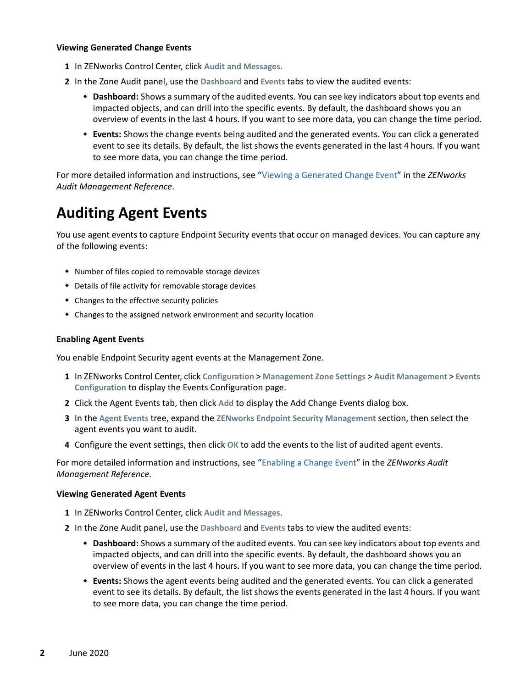#### **Viewing Generated Change Events**

- **1** In ZENworks Control Center, click **Audit and Messages**.
- **2** In the Zone Audit panel, use the **Dashboard** and **Events** tabs to view the audited events:
	- **Dashboard:** Shows a summary of the audited events. You can see key indicators about top events and impacted objects, and can drill into the specific events. By default, the dashboard shows you an overview of events in the last 4 hours. If you want to see more data, you can change the time period.
	- **Events:** Shows the change events being audited and the generated events. You can click a generated event to see its details. By default, the list shows the events generated in the last 4 hours. If you want to see more data, you can change the time period.

For more detailed information and instructions, see ["Viewing a Generated Change Event](https://www.novell.com/documentation/zenworks-2020/pdfdoc/zen_audit_management/zen_audit_management.pdf#b16qs25l)" in the *ZENworks Audit Management Reference*.

## <span id="page-1-0"></span>**Auditing Agent Events**

You use agent events to capture Endpoint Security events that occur on managed devices. You can capture any of the following events:

- Number of files copied to removable storage devices
- Details of file activity for removable storage devices
- Changes to the effective security policies
- Changes to the assigned network environment and security location

#### **Enabling Agent Events**

You enable Endpoint Security agent events at the Management Zone.

- **1** In ZENworks Control Center, click **Configuration** > **Management Zone Settings** > **Audit Management** > **Events Configuration** to display the Events Configuration page.
- **2** Click the Agent Events tab, then click **Add** to display the Add Change Events dialog box.
- **3** In the **Agent Events** tree, expand the **ZENworks Endpoint Security Management** section, then select the agent events you want to audit.
- **4** Configure the event settings, then click **OK** to add the events to the list of audited agent events.

For more detailed information and instructions, see ["Enabling a Change Event](https://www.novell.com/documentation/zenworks-2020/pdfdoc/zen_audit_management/zen_audit_management.pdf#b16qrf3y)" in the *ZENworks Audit Management Reference*.

#### **Viewing Generated Agent Events**

- **1** In ZENworks Control Center, click **Audit and Messages**.
- **2** In the Zone Audit panel, use the **Dashboard** and **Events** tabs to view the audited events:
	- **Dashboard:** Shows a summary of the audited events. You can see key indicators about top events and impacted objects, and can drill into the specific events. By default, the dashboard shows you an overview of events in the last 4 hours. If you want to see more data, you can change the time period.
	- **Events:** Shows the agent events being audited and the generated events. You can click a generated event to see its details. By default, the list shows the events generated in the last 4 hours. If you want to see more data, you can change the time period.